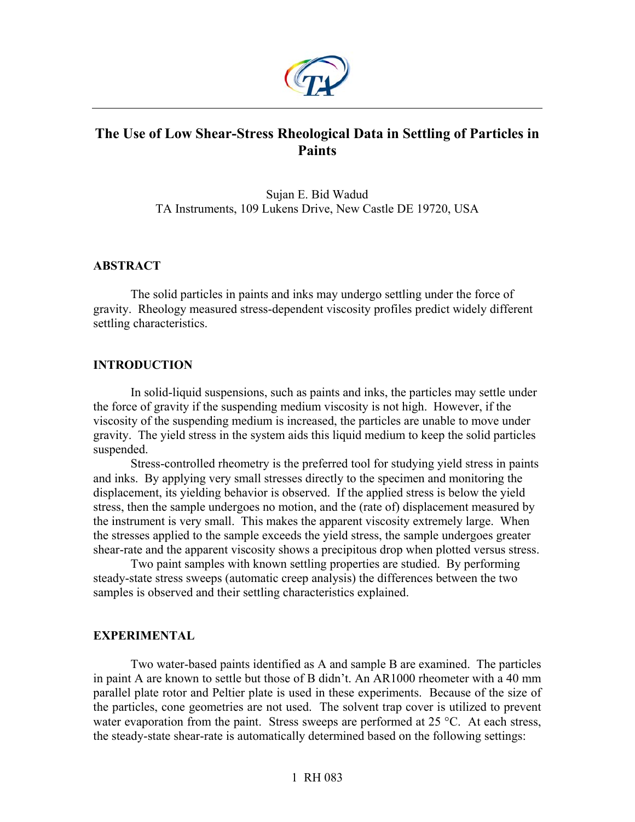

# **The Use of Low Shear-Stress Rheological Data in Settling of Particles in Paints**

Sujan E. Bid Wadud TA Instruments, 109 Lukens Drive, New Castle DE 19720, USA

## **ABSTRACT**

The solid particles in paints and inks may undergo settling under the force of gravity. Rheology measured stress-dependent viscosity profiles predict widely different settling characteristics.

## **INTRODUCTION**

In solid-liquid suspensions, such as paints and inks, the particles may settle under the force of gravity if the suspending medium viscosity is not high. However, if the viscosity of the suspending medium is increased, the particles are unable to move under gravity. The yield stress in the system aids this liquid medium to keep the solid particles suspended.

Stress-controlled rheometry is the preferred tool for studying yield stress in paints and inks. By applying very small stresses directly to the specimen and monitoring the displacement, its yielding behavior is observed. If the applied stress is below the yield stress, then the sample undergoes no motion, and the (rate of) displacement measured by the instrument is very small. This makes the apparent viscosity extremely large. When the stresses applied to the sample exceeds the yield stress, the sample undergoes greater shear-rate and the apparent viscosity shows a precipitous drop when plotted versus stress.

Two paint samples with known settling properties are studied. By performing steady-state stress sweeps (automatic creep analysis) the differences between the two samples is observed and their settling characteristics explained.

## **EXPERIMENTAL**

Two water-based paints identified as A and sample B are examined. The particles in paint A are known to settle but those of B didn't. An AR1000 rheometer with a 40 mm parallel plate rotor and Peltier plate is used in these experiments. Because of the size of the particles, cone geometries are not used. The solvent trap cover is utilized to prevent water evaporation from the paint. Stress sweeps are performed at 25 °C. At each stress, the steady-state shear-rate is automatically determined based on the following settings: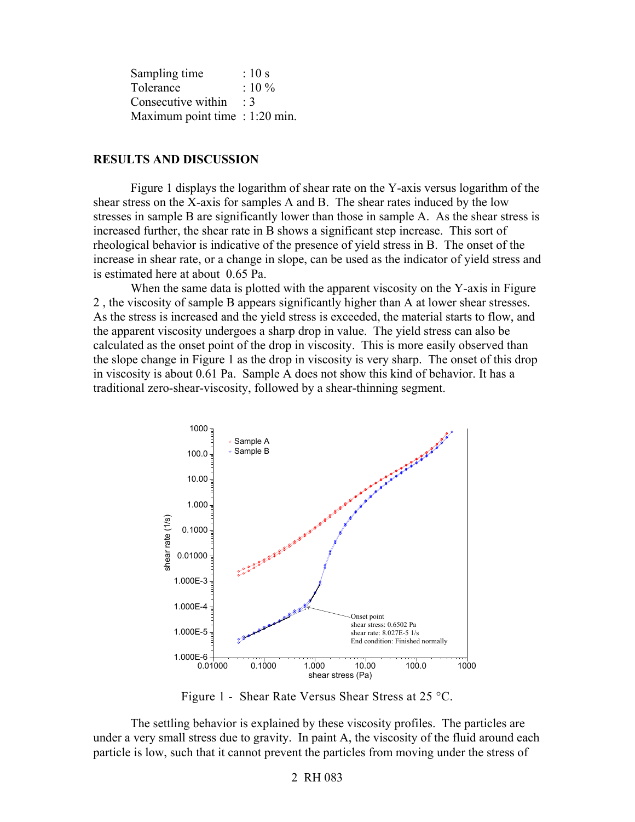| Sampling time                    | $\therefore$ 10 s |
|----------------------------------|-------------------|
| Tolerance                        | $:10\%$           |
| Consecutive within               | $\cdot$ 3         |
| Maximum point time $: 1:20$ min. |                   |

#### **RESULTS AND DISCUSSION**

Figure 1 displays the logarithm of shear rate on the Y-axis versus logarithm of the shear stress on the X-axis for samples A and B. The shear rates induced by the low stresses in sample B are significantly lower than those in sample A. As the shear stress is increased further, the shear rate in B shows a significant step increase. This sort of rheological behavior is indicative of the presence of yield stress in B. The onset of the increase in shear rate, or a change in slope, can be used as the indicator of yield stress and is estimated here at about 0.65 Pa.

When the same data is plotted with the apparent viscosity on the Y-axis in Figure 2 , the viscosity of sample B appears significantly higher than A at lower shear stresses. As the stress is increased and the yield stress is exceeded, the material starts to flow, and the apparent viscosity undergoes a sharp drop in value. The yield stress can also be calculated as the onset point of the drop in viscosity. This is more easily observed than the slope change in Figure 1 as the drop in viscosity is very sharp. The onset of this drop in viscosity is about 0.61 Pa. Sample A does not show this kind of behavior. It has a traditional zero-shear-viscosity, followed by a shear-thinning segment.



Figure 1 - Shear Rate Versus Shear Stress at 25 °C.

The settling behavior is explained by these viscosity profiles. The particles are under a very small stress due to gravity. In paint A, the viscosity of the fluid around each particle is low, such that it cannot prevent the particles from moving under the stress of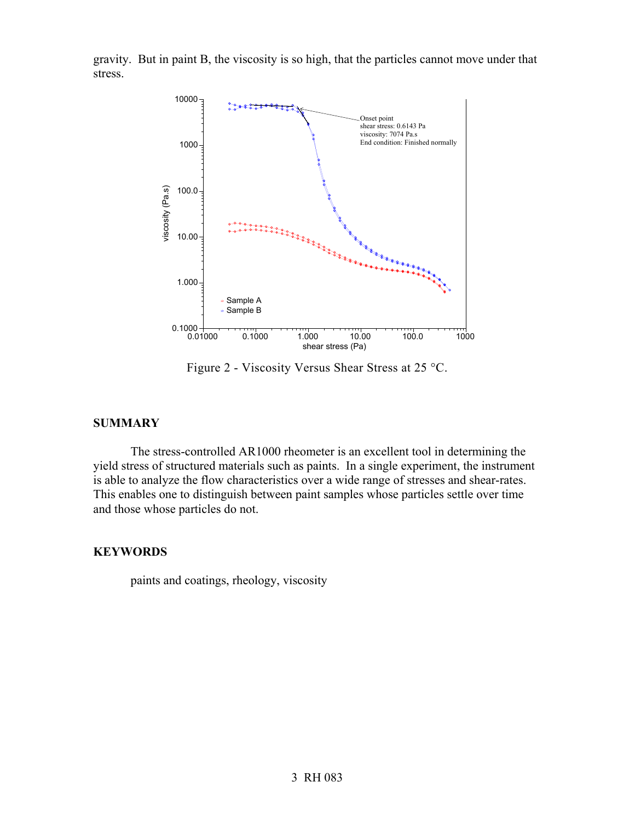gravity. But in paint B, the viscosity is so high, that the particles cannot move under that stress.



Figure 2 - Viscosity Versus Shear Stress at 25 °C.

## **SUMMARY**

The stress-controlled AR1000 rheometer is an excellent tool in determining the yield stress of structured materials such as paints. In a single experiment, the instrument is able to analyze the flow characteristics over a wide range of stresses and shear-rates. This enables one to distinguish between paint samples whose particles settle over time and those whose particles do not.

### **KEYWORDS**

paints and coatings, rheology, viscosity